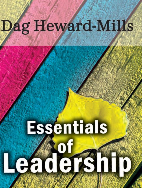# Dag Heward-Mills

# **Essentials** Leadership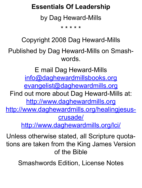#### **Essentials Of Leadership**

by Dag Heward-Mills

\* \* \* \* \*

Copyright 2008 Dag Heward-Mills

Published by Dag Heward-Mills on Smashwords.

E mail Dag Heward-Mills [info@daghewardmillsbooks.org](mailto:info@daghewardmillsbooks.org) [evangelist@daghewardmills.org](mailto:evangelist@daghewardmills.org) Find out more about Dag Heward-Mills at: [http://www.daghewardmills.org](http://www.daghewardmills.org/) [http://www.daghewardmills.org/healingjesus](http://www.daghewardmills.org/healingjesuscrusade/)[crusade/](http://www.daghewardmills.org/healingjesuscrusade/) <http://www.daghewardmills.org/lci/>

Unless otherwise stated, all Scripture quotations are taken from the King James Version of the Bible

Smashwords Edition, License Notes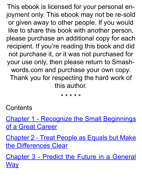This ebook is licensed for your personal enjoyment only. This ebook may not be re-sold or given away to other people. If you would like to share this book with another person, please purchase an additional copy for each recipient. If you're reading this book and did not purchase it, or it was not purchased for your use only, then please return to Smashwords.com and purchase your own copy. Thank you for respecting the hard work of this author.

\* \* \* \* \*

**Contents** 

Chapter 1 - Recognize the Small [Beginnings](#page-4-0) [of a Great Career](#page-4-0)

[Chapter](#page-7-0) 2 - Treat People as Equals but Make [the Differences Clear](#page-7-0)

Chapter 3 - Predict the Future in a [General](#page-14-0) **[Way](#page-14-0)**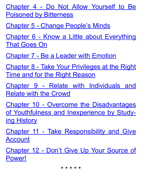Chapter 4 - Do Not Allow [Yourself](#page-17-0) to Be [Poisoned by Bitterness](#page-17-0)

[Chapter 5 - Change People's Minds](#page-22-0)

Chapter 6 - Know a Little about [Everything](#page-30-0) [That Goes On](#page-30-0)

[Chapter 7 - Be a Leader with Emotion](#page-31-0)

Chapter 8 - Take Your [Privileges](#page-36-0) at the Right [Time and for the Right Reason](#page-36-0)

Chapter 9 - Relate with [Individuals](#page-44-0) and [Relate with the Crowd](#page-44-0)

Chapter 10 - Overcome the [Disadvantages](#page-49-0) of Youthfulness and [Inexperience](#page-49-0) by Study[ing History](#page-49-0)

Chapter 11 - Take [Responsibility](#page-54-0) and Give [Account](#page-54-0)

[Chapter](#page-56-0) 12 - Don't Give Up Your Source of [Power!](#page-56-0)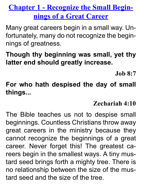# <span id="page-4-0"></span>**Chapter 1 - Recognize the Small Beginnings of a Great Career**

Many great careers begin in a small way. Unfortunately, many do not recognize the beginnings of greatness.

**Though thy beginning was small, yet thy latter end should greatly increase.**

**Job 8:7**

**For who hath despised the day of small things...**

#### **Zechariah 4:10**

The Bible teaches us not to despise small beginnings. Countless Christians throw away great careers in the ministry because they cannot recognize the beginnings of a great career. Never forget this! The greatest careers begin in the smallest ways. A tiny mustard seed brings forth a mighty tree. There is no relationship between the size of the mustard seed and the size of the tree.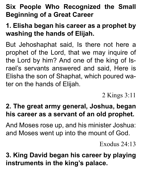# **Six People Who Recognized the Small Beginning of a Great Career**

# **1. Elisha began his career as a prophet by washing the hands of Elijah.**

But Jehoshaphat said, Is there not here a prophet of the Lord, that we may inquire of the Lord by him? And one of the king of Israel's servants answered and said, Here is Elisha the son of Shaphat, which poured water on the hands of Elijah.

2 Kings 3:11

# **2. The great army general, Joshua, began his career as a servant of an old prophet.**

And Moses rose up, and his minister Joshua: and Moses went up into the mount of God.

Exodus  $24.13$ 

**3. King David began his career by playing instruments in the king's palace.**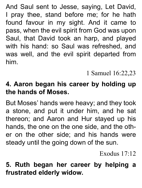And Saul sent to Jesse, saying, Let David, I pray thee, stand before me; for he hath found favour in my sight. And it came to pass, when the evil spirit from God was upon Saul, that David took an harp, and played with his hand: so Saul was refreshed, and was well, and the evil spirit departed from him.

1 Samuel 16:22,23

#### **4. Aaron began his career by holding up the hands of Moses.**

But Moses' hands were heavy; and they took a stone, and put it under him, and he sat thereon; and Aaron and Hur stayed up his hands, the one on the one side, and the other on the other side; and his hands were steady until the going down of the sun.

Exodus 17:12

#### **5. Ruth began her career by helping a frustrated elderly widow.**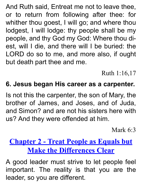And Ruth said, Entreat me not to leave thee, or to return from following after thee: for whither thou goest, I will go; and where thou lodgest, I will lodge: thy people shall be my people, and thy God my God: Where thou diest, will I die, and there will I be buried: the LORD do so to me, and more also, if ought but death part thee and me.

Ruth 1:16,17

#### **6. Jesus began His career as a carpenter.**

Is not this the carpenter, the son of Mary, the brother of James, and Joses, and of Juda, and Simon? and are not his sisters here with us? And they were offended at him.

Mark 6:3

# <span id="page-7-0"></span>**Chapter 2 - Treat People as Equals but Make the Differences Clear**

A good leader must strive to let people feel important. The reality is that you are the leader, so you are different.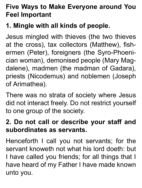# **Five Ways to Make Everyone around You Feel Important**

# **1. Mingle with all kinds of people.**

Jesus mingled with thieves (the two thieves at the cross), tax collectors (Matthew), fishermen (Peter), foreigners (the Syro-Phoenician woman), demonised people (Mary Magdalene), madmen (the madman of Gadara), priests (Nicodemus) and noblemen (Joseph of Arimathea).

There was no strata of society where Jesus did not interact freely. Do not restrict yourself to one group of the society.

#### **2. Do not call or describe your staff and subordinates as servants.**

Henceforth I call you not servants; for the servant knoweth not what his lord doeth: but I have called you friends; for all things that I have heard of my Father I have made known unto you.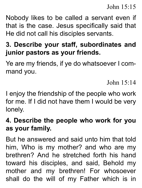John 15:15

Nobody likes to be called a servant even if that is the case. Jesus specifically said that He did not call his disciples servants.

#### **3. Describe your staff, subordinates and junior pastors as your friends.**

Ye are my friends, if ye do whatsoever I command you.

John 15:14

I enjoy the friendship of the people who work for me. If I did not have them I would be very lonely.

#### **4. Describe the people who work for you as your family.**

But he answered and said unto him that told him, Who is my mother? and who are my brethren? And he stretched forth his hand toward his disciples, and said, Behold my mother and my brethren! For whosoever shall do the will of my Father which is in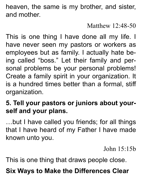heaven, the same is my brother, and sister, and mother.

#### Matthew 12:48-50

This is one thing I have done all my life. I have never seen my pastors or workers as employees but as family. I actually hate being called "boss." Let their family and personal problems be your personal problems! Create a family spirit in your organization. It is a hundred times better than a formal, stiff organization.

# **5. Tell your pastors or juniors about yourself and your plans.**

…but I have called you friends; for all things that I have heard of my Father I have made known unto you.

John 15:15b

This is one thing that draws people close.

# **Six Ways to Make the Differences Clear**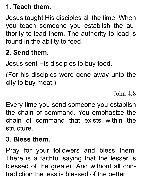# **1. Teach them.**

Jesus taught His disciples all the time. When you teach someone you establish the authority to lead them. The authority to lead is found in the ability to feed.

# **2. Send them.**

Jesus sent His disciples to buy food.

(For his disciples were gone away unto the city to buy meat.)

Iohn  $4.8$ 

Every time you send someone you establish the chain of command. You emphasize the chain of command that exists within the structure.

#### **3. Bless them.**

Pray for your followers and bless them. There is a faithful saying that the lesser is blessed of the greater. And without all contradiction the less is blessed of the better.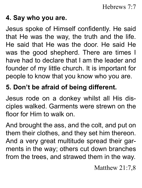#### **4. Say who you are.**

Jesus spoke of Himself confidently. He said that He was the way, the truth and the life. He said that He was the door. He said He was the good shepherd. There are times I have had to declare that I am the leader and founder of my little church. It is important for people to know that you know who you are.

# **5. Don't be afraid of being different.**

Jesus rode on a donkey whilst all His disciples walked. Garments were strewn on the floor for Him to walk on.

And brought the ass, and the colt, and put on them their clothes, and they set him thereon. And a very great multitude spread their garments in the way; others cut down branches from the trees, and strawed them in the way.

Matthew 21:7,8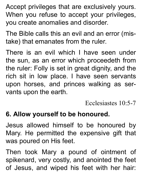Accept privileges that are exclusively yours. When you refuse to accept your privileges, you create anomalies and disorder.

The Bible calls this an evil and an error (mistake) that emanates from the ruler.

There is an evil which I have seen under the sun, as an error which proceedeth from the ruler: Folly is set in great dignity, and the rich sit in low place. I have seen servants upon horses, and princes walking as servants upon the earth.

Ecclesiastes 10:5-7

#### **6. Allow yourself to be honoured.**

Jesus allowed himself to be honoured by Mary. He permitted the expensive gift that was poured on His feet.

Then took Mary a pound of ointment of spikenard, very costly, and anointed the feet of Jesus, and wiped his feet with her hair: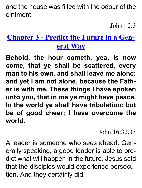and the house was filled with the odour of the ointment.

John  $12.3$ 

# <span id="page-14-0"></span>**Chapter 3 - Predict the Future in a General Way**

**Behold, the hour cometh, yea, is now come, that ye shall be scattered, every man to his own, and shall leave me alone: and yet I am not alone, because the Father is with me. These things I have spoken unto you, that in me ye might have peace. In the world ye shall have tribulation: but be of good cheer; I have overcome the world.**

John 16:32,33

A leader is someone who sees ahead. Generally speaking, a good leader is able to predict what will happen in the future. Jesus said that the disciples would experience persecution. And they certainly did!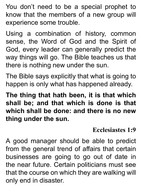You don't need to be a special prophet to know that the members of a new group will experience some trouble.

Using a combination of history, common sense, the Word of God and the Spirit of God, every leader can generally predict the way things will go. The Bible teaches us that there is nothing new under the sun.

The Bible says explicitly that what is going to happen is only what has happened already.

**The thing that hath been, it is that which shall be; and that which is done is that which shall be done: and there is no new thing under the sun.**

#### **Ecclesiastes 1:9**

A good manager should be able to predict from the general trend of affairs that certain businesses are going to go out of date in the near future. Certain politicians must see that the course on which they are walking will only end in disaster.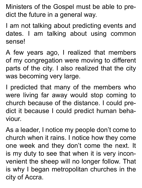Ministers of the Gospel must be able to predict the future in a general way.

I am not talking about predicting events and dates. I am talking about using common sense!

A few years ago, I realized that members of my congregation were moving to different parts of the city. I also realized that the city was becoming very large.

I predicted that many of the members who were living far away would stop coming to church because of the distance. I could predict it because I could predict human behaviour.

As a leader, I notice my people don't come to church when it rains. I notice how they come one week and they don't come the next. It is my duty to see that when it is very inconvenient the sheep will no longer follow. That is why I began metropolitan churches in the city of Accra.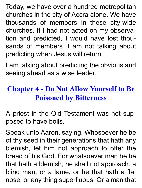Today, we have over a hundred metropolitan churches in the city of Accra alone. We have thousands of members in these city-wide churches. If I had not acted on my observation and predicted, I would have lost thousands of members. I am not talking about predicting when Jesus will return.

I am talking about predicting the obvious and seeing ahead as a wise leader.

# **Chapter 4 - Do Not Allow Yourself to Be Poisoned by Bitterness**

<span id="page-17-0"></span>A priest in the Old Testament was not supposed to have boils.

Speak unto Aaron, saying, Whosoever he be of thy seed in their generations that hath any blemish, let him not approach to offer the bread of his God. For whatsoever man he be that hath a blemish, he shall not approach: a blind man, or a lame, or he that hath a flat nose, or any thing superfluous, Or a man that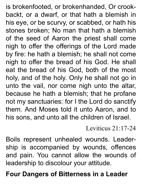is brokenfooted, or brokenhanded, Or crookbackt, or a dwarf, or that hath a blemish in his eye, or be scurvy, or scabbed, or hath his stones broken; No man that hath a blemish of the seed of Aaron the priest shall come nigh to offer the offerings of the Lord made by fire: he hath a blemish; he shall not come nigh to offer the bread of his God. He shall eat the bread of his God, both of the most holy, and of the holy. Only he shall not go in unto the vail, nor come nigh unto the altar, because he hath a blemish; that he profane not my sanctuaries: for I the Lord do sanctify them. And Moses told it unto Aaron, and to his sons, and unto all the children of Israel.

Leviticus 21:17-24

Boils represent unhealed wounds. Leadership is accompanied by wounds, offences and pain. You cannot allow the wounds of leadership to discolour your attitude.

**Four Dangers of Bitterness in a Leader**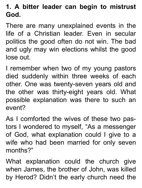# **1. A bitter leader can begin to mistrust God.**

There are many unexplained events in the life of a Christian leader. Even in secular politics the good often do not win. The bad and ugly may win elections whilst the good lose out.

I remember when two of my young pastors died suddenly within three weeks of each other. One was twenty-seven years old and the other was thirty-eight years old. What possible explanation was there to such an event?

As I comforted the wives of these two pastors I wondered to myself, "As a messenger of God, what explanation could I give to a wife who had been married for only seven months?"

What explanation could the church give when James, the brother of John, was killed by Herod? Didn't the early church need the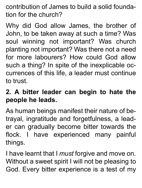contribution of James to build a solid foundation for the church?

Why did God allow James, the brother of John, to be taken away at such a time? Was soul winning not important? Was church planting not important? Was there not a need for more labourers? How could God allow such a thing? In spite of the inexplicable occurrences of this life, a leader must continue to trust.

#### **2. A bitter leader can begin to hate the people he leads.**

As human beings manifest their nature of betrayal, ingratitude and forgetfulness, a leader can gradually become bitter towards the flock. I have experienced many painful things.

I have learnt that I *must* forgive and move on. Without a sweet spirit I will not be pleasing to God. Every bitter experience is a test of my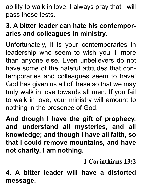ability to walk in love. I always pray that I will pass these tests.

#### **3. A bitter leader can hate his contemporaries and colleagues in ministry.**

Unfortunately, it is your contemporaries in leadership who seem to wish you ill more than anyone else. Even unbelievers do not have some of the hateful attitudes that contemporaries and colleagues seem to have! God has given us all of these so that we may truly walk in love towards all men. If you fail to walk in love, your ministry will amount to nothing in the presence of God.

**And though I have the gift of prophecy, and understand all mysteries, and all knowledge; and though I have all faith, so that I could remove mountains, and have not charity, I am nothing.**

**1 Corinthians 13:2**

**4. A bitter leader will have a distorted message.**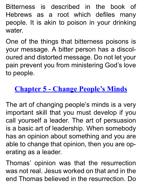Bitterness is described in the book of Hebrews as a root which defiles many people. It is akin to poison in your drinking water.

One of the things that bitterness poisons is your message. A bitter person has a discoloured and distorted message. Do not let your pain prevent you from ministering God's love to people.

# **Chapter 5 - Change People's Minds**

<span id="page-22-0"></span>The art of changing people's minds is a very important skill that you must develop if you call yourself a leader. The art of persuasion is a basic art of leadership. When somebody has an opinion about something and you are able to change that opinion, then you are operating as a leader.

Thomas' opinion was that the resurrection was not real. Jesus worked on that and in the end Thomas believed in the resurrection. Do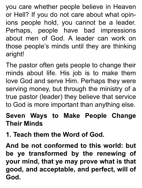you care whether people believe in Heaven or Hell? If you do not care about what opinions people hold, you cannot be a leader. Perhaps, people have bad impressions about men of God. A leader can work on those people's minds until they are thinking aright!

The pastor often gets people to change their minds about life. His job is to make them love God and serve Him. Perhaps they were serving money, but through the ministry of a true pastor (leader) they believe that service to God is more important than anything else.

#### **Seven Ways to Make People Change Their Minds**

**1. Teach them the Word of God.**

**And be not conformed to this world: but be ye transformed by the renewing of your mind, that ye may prove what is that good, and acceptable, and perfect, will of God.**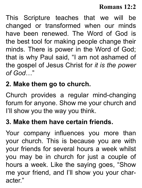#### **Romans 12:2**

This Scripture teaches that we will be changed or transformed when our minds have been renewed. The Word of God is the best tool for making people change their minds. There is power in the Word of God; that is why Paul said, "I am not ashamed of the gospel of Jesus Christ for *it is the power of God*…"

#### **2. Make them go to church.**

Church provides a regular mind-changing forum for anyone. Show me your church and I'll show you the way you think.

#### **3. Make them have certain friends.**

Your company influences you more than your church. This is because you are with your friends for several hours a week whilst you may be in church for just a couple of hours a week. Like the saying goes, "Show me your friend, and I'll show you your character."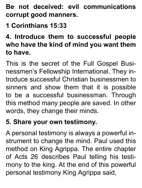**Be not deceived: evil communications corrupt good manners.**

**1 Corinthians 15:33**

**4. Introduce them to successful people who have the kind of mind you want them to have.**

This is the secret of the Full Gospel Businessmen's Fellowship International. They introduce successful Christian businessmen to sinners and show them that it is possible to be a successful businessman. Through this method many people are saved. In other words, they change their minds.

#### **5. Share your own testimony.**

A personal testimony is always a powerful instrument to change the mind. Paul used this method on King Agrippa. The entire chapter of Acts 26 describes Paul telling his testimony to the king. At the end of this powerful personal testimony King Agrippa said,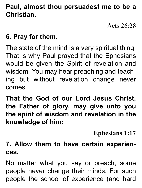#### **Paul, almost thou persuadest me to be a Christian.**

Acts  $26.28$ 

#### **6. Pray for them.**

The state of the mind is a very spiritual thing. That is why Paul prayed that the Ephesians would be given the Spirit of revelation and wisdom. You may hear preaching and teaching but without revelation change never comes.

**That the God of our Lord Jesus Christ, the Father of glory, may give unto you the spirit of wisdom and revelation in the knowledge of him:**

**Ephesians 1:17**

**7. Allow them to have certain experiences.**

No matter what you say or preach, some people never change their minds. For such people the school of experience (and hard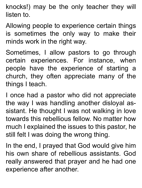knocks!) may be the only teacher they will listen to.

Allowing people to experience certain things is sometimes the only way to make their minds work in the right way.

Sometimes, I allow pastors to go through certain experiences. For instance, when people have the experience of starting a church, they often appreciate many of the things I teach.

I once had a pastor who did not appreciate the way I was handling another disloyal assistant. He thought I was not walking in love towards this rebellious fellow. No matter how much I explained the issues to this pastor, he still felt I was doing the wrong thing.

In the end, I prayed that God would give him his own share of rebellious assistants. God really answered that prayer and he had one experience after another.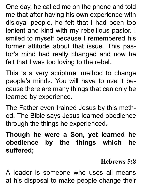One day, he called me on the phone and told me that after having his own experience with disloyal people, he felt that I had been too lenient and kind with my rebellious pastor. I smiled to myself because I remembered his former attitude about that issue. This pastor's mind had really changed and now he felt that I was too loving to the rebel.

This is a very scriptural method to change people's minds. You will have to use it because there are many things that can only be learned by experience.

The Father even trained Jesus by this method. The Bible says Jesus learned obedience through the things he experienced.

**Though he were a Son, yet learned he obedience by the things which he suffered;**

#### **Hebrews 5:8**

A leader is someone who uses all means at his disposal to make people change their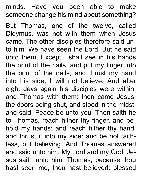minds. Have you been able to make someone change his mind about something?

But Thomas, one of the twelve, called Didymus, was not with them when Jesus came. The other disciples therefore said unto him, We have seen the Lord. But he said unto them, Except I shall see in his hands the print of the nails, and put my finger into the print of the nails, and thrust my hand into his side, I will not believe. And after eight days again his disciples were within, and Thomas with them: then came Jesus, the doors being shut, and stood in the midst, and said, Peace be unto you. Then saith he to Thomas, reach hither thy finger, and behold my hands; and reach hither thy hand, and thrust it into my side: and be not faithless, but believing. And Thomas answered and said unto him, My Lord and my God. Jesus saith unto him, Thomas, because thou hast seen me, thou hast believed: blessed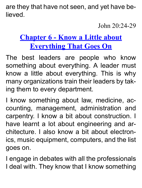are they that have not seen, and yet have believed.

John 20:24-29

# <span id="page-30-0"></span>**Chapter 6 - Know a Little about Everything That Goes On**

The best leaders are people who know something about everything. A leader must know a little about everything. This is why many organizations train their leaders by taking them to every department.

I know something about law, medicine, accounting, management, administration and carpentry. I know a bit about construction. I have learnt a lot about engineering and architecture. I also know a bit about electronics, music equipment, computers, and the list goes on.

I engage in debates with all the professionals I deal with. They know that I know something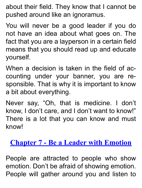about their field. They know that I cannot be pushed around like an ignoramus.

You will never be a good leader if you do not have an idea about what goes on. The fact that you are a layperson in a certain field means that you should read up and educate yourself.

When a decision is taken in the field of accounting under your banner, you are responsible. That is why it is important to know a bit about everything.

Never say, "Oh, that is medicine. I don't know, I don't care, and I don't want to know!" There is a lot that you can know and must know!

#### **Chapter 7 - Be a Leader with Emotion**

<span id="page-31-0"></span>People are attracted to people who show emotion. Don't be afraid of showing emotion. People will gather around you and listen to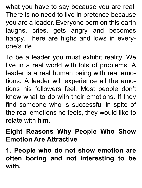what you have to say because you are real. There is no need to live in pretence because you are a leader. Everyone born on this earth laughs, cries, gets angry and becomes happy. There are highs and lows in everyone's life.

To be a leader you must exhibit reality. We live in a real world with lots of problems. A leader is a real human being with real emotions. A leader will experience all the emotions his followers feel. Most people don't know what to do with their emotions. If they find someone who is successful in spite of the real emotions he feels, they would like to relate with him.

#### **Eight Reasons Why People Who Show Emotion Are Attractive**

**1. People who do not show emotion are often boring and not interesting to be with.**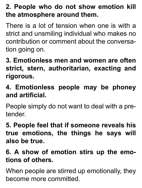# **2. People who do not show emotion kill the atmosphere around them.**

There is a lot of tension when one is with a strict and unsmiling individual who makes no contribution or comment about the conversation going on.

**3. Emotionless men and women are often strict, stern, authoritarian, exacting and rigorous.**

**4. Emotionless people may be phoney and artificial.**

People simply do not want to deal with a pretender.

**5. People feel that if someone reveals his true emotions, the things he says will also be true.**

# **6. A show of emotion stirs up the emotions of others.**

When people are stirred up emotionally, they become more committed.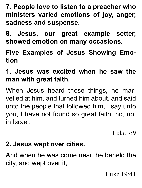**7. People love to listen to a preacher who ministers varied emotions of joy, anger, sadness and suspense.**

**8. Jesus, our great example setter, showed emotion on many occasions.**

**Five Examples of Jesus Showing Emotion**

**1. Jesus was excited when he saw the man with great faith.**

When Jesus heard these things, he marvelled at him, and turned him about, and said unto the people that followed him, I say unto you, I have not found so great faith, no, not in Israel.

Luke  $7.9$ 

#### **2. Jesus wept over cities.**

And when he was come near, he beheld the city, and wept over it,

Luke 19:41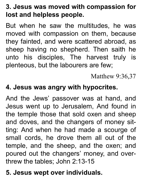# **3. Jesus was moved with compassion for lost and helpless people.**

But when he saw the multitudes, he was moved with compassion on them, because they fainted, and were scattered abroad, as sheep having no shepherd. Then saith he unto his disciples, The harvest truly is plenteous, but the labourers are few;

Matthew 9:36,37

#### **4. Jesus was angry with hypocrites.**

And the Jews' passover was at hand, and Jesus went up to Jerusalem, And found in the temple those that sold oxen and sheep and doves, and the changers of money sitting: And when he had made a scourge of small cords, he drove them all out of the temple, and the sheep, and the oxen; and poured out the changers' money, and overthrew the tables; John 2:13-15

# **5. Jesus wept over individuals.**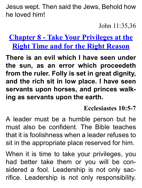Jesus wept. Then said the Jews, Behold how he loved him!

John 11:35,36

<span id="page-36-0"></span>**Chapter 8 - Take Your Privileges at the Right Time and for the Right Reason**

**There is an evil which I have seen under the sun, as an error which proceedeth from the ruler. Folly is set in great dignity, and the rich sit in low place. I have seen servants upon horses, and princes walking as servants upon the earth.**

**Ecclesiastes 10:5-7**

A leader must be a humble person but he must also be confident. The Bible teaches that it is foolishness when a leader refuses to sit in the appropriate place reserved for him.

When it is time to take your privileges, you had better take them or you will be considered a fool. Leadership is not only sacrifice. Leadership is not only responsibility.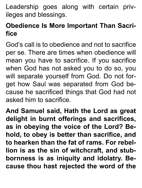Leadership goes along with certain privileges and blessings.

#### **Obedience Is More Important Than Sacrifice**

God's call is to obedience and not to sacrifice per se. There are times when obedience will mean you have to sacrifice. If you sacrifice when God has not asked you to do so, you will separate yourself from God. Do not forget how Saul was separated from God because he sacrificed things that God had not asked him to sacrifice.

**And Samuel said, Hath the Lord as great delight in burnt offerings and sacrifices, as in obeying the voice of the Lord? Behold, to obey is better than sacrifice, and to hearken than the fat of rams. For rebellion is as the sin of witchcraft, and stubbornness is as iniquity and idolatry. Because thou hast rejected the word of the**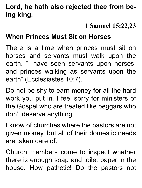#### **Lord, he hath also rejected thee from being king.**

#### **1 Samuel 15:22,23**

#### **When Princes Must Sit on Horses**

There is a time when princes must sit on horses and servants must walk upon the earth. "I have seen servants upon horses, and princes walking as servants upon the earth" (Ecclesiastes 10:7).

Do not be shy to earn money for all the hard work you put in. I feel sorry for ministers of the Gospel who are treated like beggars who don't deserve anything.

I know of churches where the pastors are not given money, but all of their domestic needs are taken care of.

Church members come to inspect whether there is enough soap and toilet paper in the house. How pathetic! Do the pastors not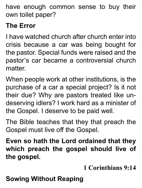have enough common sense to buy their own toilet paper?

# **The Error**

I have watched church after church enter into crisis because a car was being bought for the pastor. Special funds were raised and the pastor's car became a controversial church matter.

When people work at other institutions, is the purchase of a car a special project? Is it not their due? Why are pastors treated like undeserving idlers? I work hard as a minister of the Gospel. I deserve to be paid well.

The Bible teaches that they that preach the Gospel must live off the Gospel.

**Even so hath the Lord ordained that they which preach the gospel should live of the gospel.**

**1 Corinthians 9:14**

# **Sowing Without Reaping**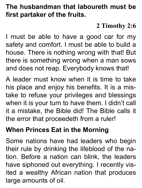#### **The husbandman that laboureth must be first partaker of the fruits.**

#### **2 Timothy 2:6**

I must be able to have a good car for my safety and comfort. I must be able to build a house. There is nothing wrong with that! But there is something wrong when a man sows and does not reap. Everybody knows that!

A leader must know when it is time to take his place and enjoy his benefits. It is a mistake to refuse your privileges and blessings when it is your turn to have them. I didn't call it a mistake, the Bible did! The Bible calls it the error that proceedeth from a ruler!

#### **When Princes Eat in the Morning**

Some nations have had leaders who begin their rule by drinking the lifeblood of the nation. Before a nation can blink, the leaders have siphoned out everything. I recently visited a wealthy African nation that produces large amounts of oil.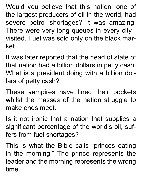Would you believe that this nation, one of the largest producers of oil in the world, had severe petrol shortages? It was amazing! There were very long queues in every city I visited. Fuel was sold only on the black market.

It was later reported that the head of state of that nation had a billion dollars in petty cash. What is a president doing with a billion dollars of petty cash?

These vampires have lined their pockets whilst the masses of the nation struggle to make ends meet.

Is it not ironic that a nation that supplies a significant percentage of the world's oil, suffers from fuel shortages?

This is what the Bible calls "princes eating in the morning." The prince represents the leader and the morning represents the wrong time.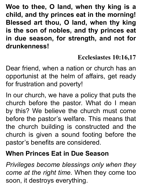**Woe to thee, O land, when thy king is a child, and thy princes eat in the morning! Blessed art thou, O land, when thy king is the son of nobles, and thy princes eat in due season, for strength, and not for drunkenness!**

#### **Ecclesiastes 10:16,17**

Dear friend, when a nation or church has an opportunist at the helm of affairs, get ready for frustration and poverty!

In our church, we have a policy that puts the church before the pastor. What do I mean by this? We believe the church must come before the pastor's welfare. This means that the church building is constructed and the church is given a sound footing before the pastor's benefits are considered.

#### **When Princes Eat in Due Season**

*Privileges become blessings only when they come at the right time.* When they come too soon, it destroys everything.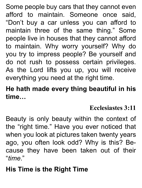Some people buy cars that they cannot even afford to maintain. Someone once said, "Don't buy a car unless you can afford to maintain three of the same thing." Some people live in houses that they cannot afford to maintain. Why worry yourself? Why do you try to impress people? Be yourself and do not rush to possess certain privileges. As the Lord lifts you up, you will receive everything you need at the right time.

#### **He hath made every thing beautiful in his time…**

#### **Ecclesiastes 3:11**

Beauty is only beauty within the context of the "right time." Have you ever noticed that when you look at pictures taken twenty years ago, you often look odd? Why is this? Because they have been taken out of their "*time*."

# **His Time is the Right Time**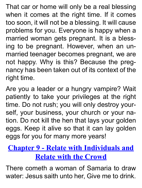That car or home will only be a real blessing when it comes at the right time. If it comes too soon, it will not be a blessing. It will cause problems for you. Everyone is happy when a married woman gets pregnant. It is a blessing to be pregnant. However, when an unmarried teenager becomes pregnant, we are not happy. Why is this? Because the pregnancy has been taken out of its context of the right time.

Are you a leader or a hungry vampire? Wait patiently to take your privileges at the right time. Do not rush; you will only destroy yourself, your business, your church or your nation. Do not kill the hen that lays your golden eggs. Keep it alive so that it can lay golden eggs for you for many more years!

# <span id="page-44-0"></span>**Chapter 9 - Relate with Individuals and Relate with the Crowd**

There cometh a woman of Samaria to draw water: Jesus saith unto her, Give me to drink.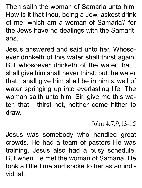Then saith the woman of Samaria unto him, How is it that thou, being a Jew, askest drink of me, which am a woman of Samaria? for the Jews have no dealings with the Samaritans.

Jesus answered and said unto her, Whosoever drinketh of this water shall thirst again: But whosoever drinketh of the water that I shall give him shall never thirst; but the water that I shall give him shall be in him a well of water springing up into everlasting life. The woman saith unto him, Sir, give me this water, that I thirst not, neither come hither to draw.

#### John 4:7,9,13-15

Jesus was somebody who handled great crowds. He had a team of pastors He was training. Jesus also had a busy schedule. But when He met the woman of Samaria, He took a little time and spoke to her as an individual.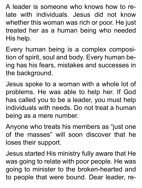A leader is someone who knows how to relate with individuals. Jesus did not know whether this woman was rich or poor. He just treated her as a human being who needed His help.

Every human being is a complex composition of spirit, soul and body. Every human being has his fears, mistakes and successes in the background.

Jesus spoke to a woman with a whole lot of problems. He was able to help her. If God has called you to be a leader, you must help individuals with needs. Do not treat a human being as a mere number.

Anyone who treats his members as "just one of the masses" will soon discover that he loses their support.

Jesus started His ministry fully aware that He was going to relate with poor people. He was going to minister to the broken-hearted and to people that were bound. Dear leader, re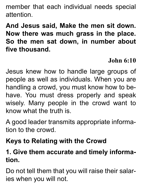member that each individual needs special attention.

**And Jesus said, Make the men sit down. Now there was much grass in the place. So the men sat down, in number about five thousand.**

#### **John 6:10**

Jesus knew how to handle large groups of people as well as individuals. When you are handling a crowd, you must know how to behave. You must dress properly and speak wisely. Many people in the crowd want to know what the truth is.

A good leader transmits appropriate information to the crowd.

# **Keys to Relating with the Crowd**

#### **1. Give them accurate and timely information.**

Do not tell them that you will raise their salaries when you will not.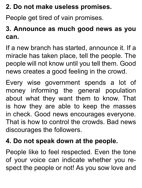# **2. Do not make useless promises.**

People get tired of vain promises.

# **3. Announce as much good news as you can.**

If a new branch has started, announce it. If a miracle has taken place, tell the people. The people will not know until you tell them. Good news creates a good feeling in the crowd.

Every wise government spends a lot of money informing the general population about what they want them to know. That is how they are able to keep the masses in check. Good news encourages everyone. That is how to control the crowds. Bad news discourages the followers.

#### **4. Do not speak down at the people.**

People like to feel respected. Even the tone of your voice can indicate whether you respect the people or not! As you sow love and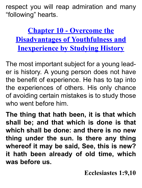respect you will reap admiration and many "following" hearts.

**Chapter 10 - Overcome the Disadvantages of Youthfulness and Inexperience by Studying History**

<span id="page-49-0"></span>The most important subject for a young leader is history. A young person does not have the benefit of experience. He has to tap into the experiences of others. His only chance of avoiding certain mistakes is to study those who went before him.

**The thing that hath been, it is that which shall be; and that which is done is that which shall be done: and there is no new thing under the sun. Is there any thing whereof it may be said, See, this is new? it hath been already of old time, which was before us.**

**Ecclesiastes 1:9,10**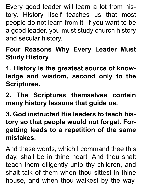Every good leader will learn a lot from history. History itself teaches us that most people do not learn from it. If you want to be a good leader, you must study church history and secular history.

# **Four Reasons Why Every Leader Must Study History**

**1. History is the greatest source of knowledge and wisdom, second only to the Scriptures.**

**2. The Scriptures themselves contain many history lessons that guide us.**

**3. God instructed His leaders to teach history so that people would not forget. Forgetting leads to a repetition of the same mistakes.**

And these words, which I command thee this day, shall be in thine heart: And thou shalt teach them diligently unto thy children, and shalt talk of them when thou sittest in thine house, and when thou walkest by the way,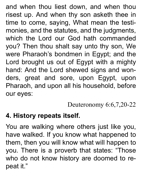and when thou liest down, and when thou risest up. And when thy son asketh thee in time to come, saying, What mean the testimonies, and the statutes, and the judgments, which the Lord our God hath commanded you? Then thou shalt say unto thy son, We were Pharaoh's bondmen in Egypt; and the Lord brought us out of Egypt with a mighty hand: And the Lord shewed signs and wonders, great and sore, upon Egypt, upon Pharaoh, and upon all his household, before our eyes:

Deuteronomy 6:6,7,20-22

#### **4. History repeats itself.**

You are walking where others just like you, have walked. If you know what happened to them, then you will know what will happen to you. There is a proverb that states: "Those who do not know history are doomed to repeat it."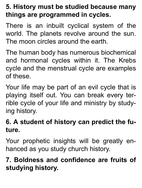#### **5. History must be studied because many things are programmed in cycles.**

There is an inbuilt cyclical system of the world. The planets revolve around the sun. The moon circles around the earth.

The human body has numerous biochemical and hormonal cycles within it. The Krebs cycle and the menstrual cycle are examples of these.

Your life may be part of an evil cycle that is playing itself out. You can break every terrible cycle of your life and ministry by studying history.

#### **6. A student of history can predict the future.**

Your prophetic insights will be greatly enhanced as you study church history.

**7. Boldness and confidence are fruits of studying history.**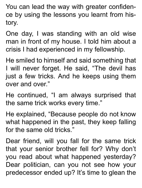You can lead the way with greater confidence by using the lessons you learnt from history.

One day, I was standing with an old wise man in front of my house. I told him about a crisis I had experienced in my fellowship.

He smiled to himself and said something that I will never forget. He said, "The devil has just a few tricks. And he keeps using them over and over."

He continued, "I am always surprised that the same trick works every time."

He explained, "Because people do not know what happened in the past, they keep falling for the same old tricks."

Dear friend, will you fall for the same trick that your senior brother fell for? Why don't you read about what happened yesterday? Dear politician, can you not see how your predecessor ended up? It's time to glean the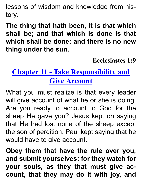lessons of wisdom and knowledge from history.

**The thing that hath been, it is that which shall be; and that which is done is that which shall be done: and there is no new thing under the sun.**

**Ecclesiastes 1:9**

# <span id="page-54-0"></span>**Chapter 11 - Take Responsibility and Give Account**

What you must realize is that every leader will give account of what he or she is doing. Are you ready to account to God for the sheep He gave you? Jesus kept on saying that He had lost none of the sheep except the son of perdition. Paul kept saying that he would have to give account.

**Obey them that have the rule over you, and submit yourselves: for they watch for your souls, as they that must give account, that they may do it with joy, and**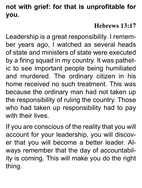#### **not with grief: for that is unprofitable for you.**

#### **Hebrews 13:17**

Leadership is a great responsibility. I remember years ago, I watched as several heads of state and ministers of state were executed by a firing squad in my country. It was pathetic to see important people being humiliated and murdered. The ordinary citizen in his home received no such treatment. This was because the ordinary man had not taken up the responsibility of ruling the country. Those who had taken up responsibility had to pay with their lives

If you are conscious of the reality that you will account for your leadership, you will discover that you will become a better leader. Always remember that the day of accountability is coming. This will make you do the right thing.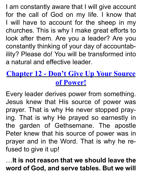I am constantly aware that I will give account for the call of God on my life. I know that I will have to account for the sheep in my churches. This is why I make great efforts to look after them. Are you a leader? Are you constantly thinking of your day of accountability? Please do! You will be transformed into a natural and effective leader.

# <span id="page-56-0"></span>**Chapter 12 - Don't Give Up Your Source of Power!**

Every leader derives power from something. Jesus knew that His source of power was prayer. That is why He never stopped praying. That is why He prayed so earnestly in the garden of Gethsemane. The apostle Peter knew that his source of power was in prayer and in the Word. That is why he refused to give it up!

…**It is not reason that we should leave the word of God, and serve tables. But we will**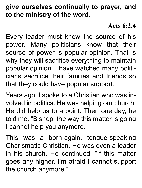#### **give ourselves continually to prayer, and to the ministry of the word.**

#### **Acts 6:2,4**

Every leader must know the source of his power. Many politicians know that their source of power is popular opinion. That is why they will sacrifice everything to maintain popular opinion. I have watched many politicians sacrifice their families and friends so that they could have popular support.

Years ago, I spoke to a Christian who was involved in politics. He was helping our church. He did help us to a point. Then one day, he told me, "Bishop, the way this matter is going I cannot help you anymore."

This was a born-again, tongue-speaking Charismatic Christian. He was even a leader in his church. He continued, "If this matter goes any higher, I'm afraid I cannot support the church anymore."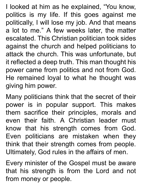I looked at him as he explained, "You know, politics is my life. If this goes against me politically, I will lose my job. And that means a lot to me." A few weeks later, the matter escalated. This Christian politician took sides against the church and helped politicians to attack the church. This was unfortunate, but it reflected a deep truth. This man thought his power came from politics and not from God. He remained loyal to what he thought was giving him power.

Many politicians think that the secret of their power is in popular support. This makes them sacrifice their principles, morals and even their faith. A Christian leader must know that his strength comes from God. Even politicians are mistaken when they think that their strength comes from people. Ultimately, God rules in the affairs of men.

Every minister of the Gospel must be aware that his strength is from the Lord and not from money or people.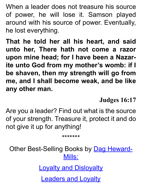When a leader does not treasure his source of power, he will lose it. Samson played around with his source of power. Eventually, he lost everything.

**That he told her all his heart, and said unto her, There hath not come a razor upon mine head; for I have been a Nazarite unto God from my mother's womb: if I be shaven, then my strength will go from me, and I shall become weak, and be like any other man.**

**Judges 16:17**

Are you a leader? Find out what is the source of your strength. Treasure it, protect it and do not give it up for anything!

\*\*\*\*\*\*\*

Other Best-Selling Books by [Dag Heward-](http://www.smashwords.com/profile/view/DHM)[Mills:](http://www.smashwords.com/profile/view/DHM)

[Loyalty and Disloyalty](http://www.smashwords.com/books/view/16044)

[Leaders and Loyalty](http://www.smashwords.com/books/view/38395)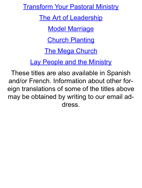[Transform Your Pastoral Ministry](http://www.smashwords.com/books/view/38526)

[The Art of Leadership](http://www.smashwords.com/books/view/38217)

[Model Marriage](http://www.smashwords.com/books/view/40135)

**[Church Planting](http://www.smashwords.com/books/view/16119)** 

[The Mega Church](http://www.smashwords.com/books/view/16117)

[Lay People and the Ministry](http://www.smashwords.com/books/view/16045)

These titles are also available in Spanish and/or French. Information about other foreign translations of some of the titles above may be obtained by writing to our email address.